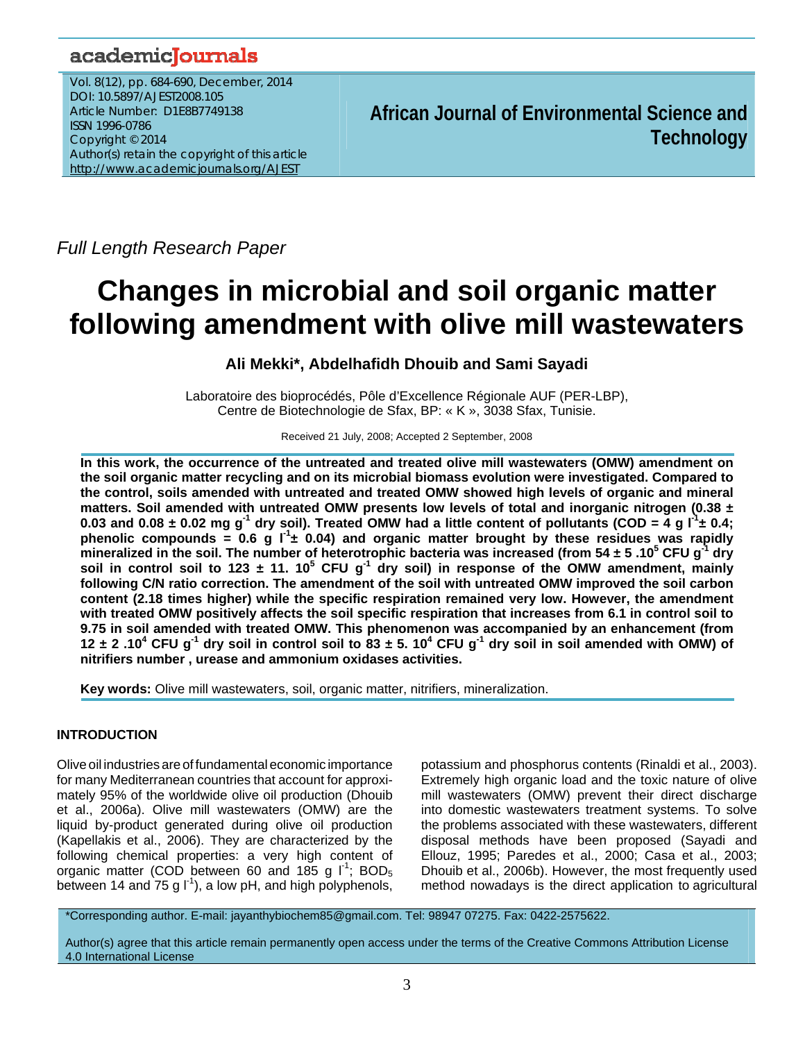# academicJournals

Vol. 8(12), pp. 684-690, December, 2014 DOI: 10.5897/AJEST2008.105 Article Number: D1E8B7749138 ISSN 1996-0786 Copyright © 2014 Author(s) retain the copyright of this article http://www.academicjournals.org/AJEST

**African Journal of Environmental Science and Technology**

*Full Length Research Paper* 

# **Changes in microbial and soil organic matter following amendment with olive mill wastewaters**

**Ali Mekki\*, Abdelhafidh Dhouib and Sami Sayadi** 

Laboratoire des bioprocédés, Pôle d'Excellence Régionale AUF (PER-LBP), Centre de Biotechnologie de Sfax, BP: « K », 3038 Sfax, Tunisie.

Received 21 July, 2008; Accepted 2 September, 2008

**In this work, the occurrence of the untreated and treated olive mill wastewaters (OMW) amendment on the soil organic matter recycling and on its microbial biomass evolution were investigated. Compared to the control, soils amended with untreated and treated OMW showed high levels of organic and mineral matters. Soil amended with untreated OMW presents low levels of total and inorganic nitrogen (0.38 ±**  0.03 and 0.08  $\pm$  0.02 mg g<sup>-1</sup> dry soil). Treated OMW had a little content of pollutants (COD = 4 g l<sup>-1</sup> $\pm$  0.4; phenolic compounds = 0.6 g  $I^1$  ± 0.04) and organic matter brought by these residues was rapidly **mineralized in the soil. The number of heterotrophic bacteria was increased (from 54 ± 5 .105 CFU g-1 dry**  soil in control soil to 123  $\pm$  11. 10<sup>5</sup> CFU g<sup>-1</sup> dry soil) in response of the OMW amendment, mainly **following C/N ratio correction. The amendment of the soil with untreated OMW improved the soil carbon content (2.18 times higher) while the specific respiration remained very low. However, the amendment with treated OMW positively affects the soil specific respiration that increases from 6.1 in control soil to 9.75 in soil amended with treated OMW. This phenomenon was accompanied by an enhancement (from**  12  $\pm$  2 .10<sup>4</sup> CFU g<sup>-1</sup> dry soil in control soil to 83  $\pm$  5. 10<sup>4</sup> CFU g<sup>-1</sup> dry soil in soil amended with OMW) of **nitrifiers number , urease and ammonium oxidases activities.** 

**Key words:** Olive mill wastewaters, soil, organic matter, nitrifiers, mineralization.

# **INTRODUCTION**

Olive oil industries are of fundamentaleconomic importance for many Mediterranean countries that account for approximately 95% of the worldwide olive oil production (Dhouib et al., 2006a). Olive mill wastewaters (OMW) are the liquid by-product generated during olive oil production (Kapellakis et al., 2006). They are characterized by the following chemical properties: a very high content of organic matter (COD between 60 and 185 g  $I^1$ : BOD<sub>5</sub> between 14 and 75 g  $I^1$ , a low pH, and high polyphenols, potassium and phosphorus contents (Rinaldi et al., 2003). Extremely high organic load and the toxic nature of olive mill wastewaters (OMW) prevent their direct discharge into domestic wastewaters treatment systems. To solve the problems associated with these wastewaters, different disposal methods have been proposed (Sayadi and Ellouz, 1995; Paredes et al., 2000; Casa et al., 2003; Dhouib et al., 2006b). However, the most frequently used method nowadays is the direct application to agricultural

\*Corresponding author. E-mail: jayanthybiochem85@gmail.com. Tel: 98947 07275. Fax: 0422-2575622.

Author(s) agree that this article remain permanently open access under the terms of the Creative Commons Attribution License 4.0 International License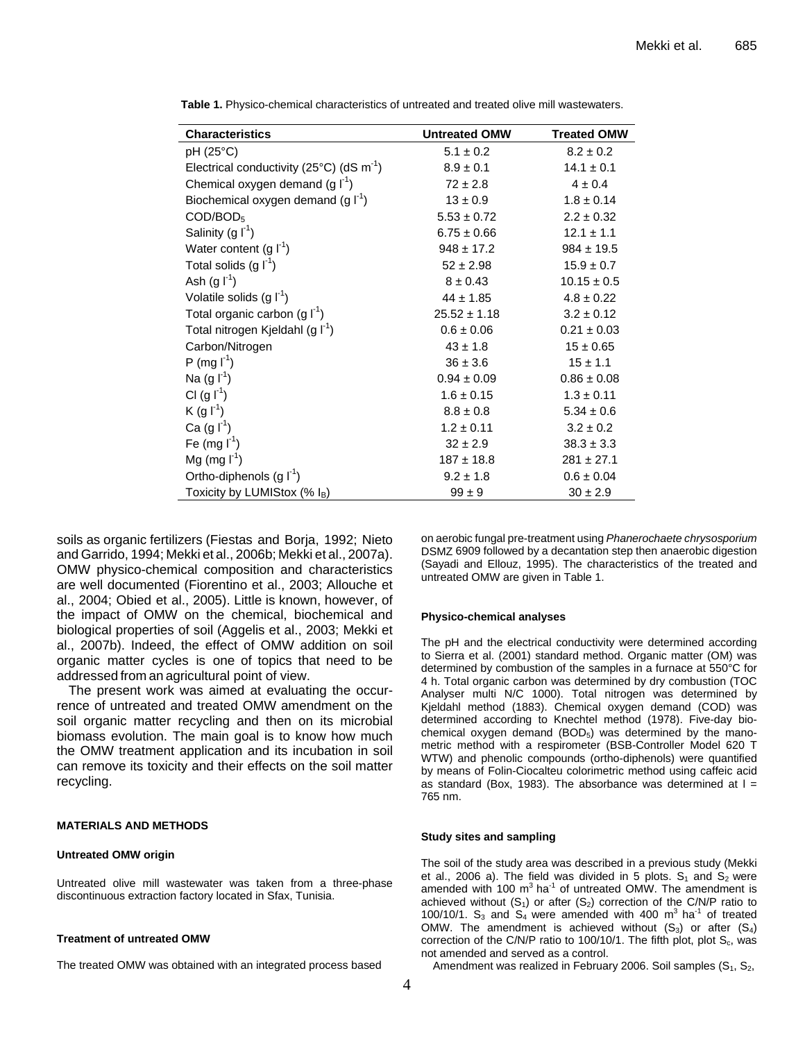| <b>Characteristics</b>                                          | <b>Untreated OMW</b> | <b>Treated OMW</b> |
|-----------------------------------------------------------------|----------------------|--------------------|
| $pH (25^{\circ}C)$                                              | $5.1 \pm 0.2$        | $8.2 \pm 0.2$      |
| Electrical conductivity (25 $^{\circ}$ C) (dS m <sup>-1</sup> ) | $8.9 \pm 0.1$        | $14.1 \pm 0.1$     |
| Chemical oxygen demand (g $\Gamma^1$ )                          | $72 \pm 2.8$         | $4 \pm 0.4$        |
| Biochemical oxygen demand $(g I^1)$                             | $13 \pm 0.9$         | $1.8 \pm 0.14$     |
| $\text{COD/BOD}_5$                                              | $5.53 \pm 0.72$      | $2.2 \pm 0.32$     |
| Salinity (g $\Gamma^1$ )                                        | $6.75 \pm 0.66$      | $12.1 \pm 1.1$     |
| Water content $(g f^1)$                                         | $948 \pm 17.2$       | $984 \pm 19.5$     |
| Total solids $(g f^1)$                                          | $52 \pm 2.98$        | $15.9 \pm 0.7$     |
| Ash $(g f^1)$                                                   | $8 \pm 0.43$         | $10.15 \pm 0.5$    |
| Volatile solids $(g \, \Gamma^1)$                               | $44 \pm 1.85$        | $4.8 \pm 0.22$     |
| Total organic carbon (g $\Gamma^1$ )                            | $25.52 \pm 1.18$     | $3.2 \pm 0.12$     |
| Total nitrogen Kjeldahl (g I <sup>-1</sup> )                    | $0.6 \pm 0.06$       | $0.21 \pm 0.03$    |
| Carbon/Nitrogen                                                 | $43 \pm 1.8$         | $15 \pm 0.65$      |
| P (mg I <sup>1</sup> )                                          | $36 \pm 3.6$         | $15 \pm 1.1$       |
| Na $(g f^1)$                                                    | $0.94 \pm 0.09$      | $0.86 \pm 0.08$    |
| CI $(g I^1)$                                                    | $1.6 \pm 0.15$       | $1.3 \pm 0.11$     |
| $K(g I^1)$                                                      | $8.8 \pm 0.8$        | $5.34 \pm 0.6$     |
| Ca $(g \, \Gamma^1)$                                            | $1.2 \pm 0.11$       | $3.2 \pm 0.2$      |
| Fe (mg $I^{-1}$ )                                               | $32 \pm 2.9$         | $38.3 \pm 3.3$     |
| Mg (mg $I^{-1}$ )                                               | $187 \pm 18.8$       | $281 \pm 27.1$     |
| Ortho-diphenols $(g I^1)$                                       | $9.2 \pm 1.8$        | $0.6 \pm 0.04$     |
| Toxicity by LUMIStox (% IB)                                     | $99 \pm 9$           | $30 \pm 2.9$       |

**Table 1.** Physico-chemical characteristics of untreated and treated olive mill wastewaters.

soils as organic fertilizers (Fiestas and Borja, 1992; Nieto and Garrido, 1994; Mekki et al., 2006b; Mekki et al., 2007a). OMW physico-chemical composition and characteristics are well documented (Fiorentino et al., 2003; Allouche et al., 2004; Obied et al., 2005). Little is known, however, of the impact of OMW on the chemical, biochemical and biological properties of soil (Aggelis et al., 2003; Mekki et al., 2007b). Indeed, the effect of OMW addition on soil organic matter cycles is one of topics that need to be addressed from an agricultural point of view.

The present work was aimed at evaluating the occurrence of untreated and treated OMW amendment on the soil organic matter recycling and then on its microbial biomass evolution. The main goal is to know how much the OMW treatment application and its incubation in soil can remove its toxicity and their effects on the soil matter recycling.

#### **MATERIALS AND METHODS**

#### **Untreated OMW origin**

Untreated olive mill wastewater was taken from a three-phase discontinuous extraction factory located in Sfax, Tunisia.

#### **Treatment of untreated OMW**

The treated OMW was obtained with an integrated process based

on aerobic fungal pre-treatment using *Phanerochaete chrysosporium* DSMZ 6909 followed by a decantation step then anaerobic digestion (Sayadi and Ellouz, 1995). The characteristics of the treated and untreated OMW are given in Table 1.

#### **Physico-chemical analyses**

The pH and the electrical conductivity were determined according to Sierra et al. (2001) standard method. Organic matter (OM) was determined by combustion of the samples in a furnace at 550°C for 4 h. Total organic carbon was determined by dry combustion (TOC Analyser multi N/C 1000). Total nitrogen was determined by Kjeldahl method (1883). Chemical oxygen demand (COD) was determined according to Knechtel method (1978). Five-day biochemical oxygen demand  $(BOD<sub>5</sub>)$  was determined by the manometric method with a respirometer (BSB-Controller Model 620 T WTW) and phenolic compounds (ortho-diphenols) were quantified by means of Folin-Ciocalteu colorimetric method using caffeic acid as standard (Box, 1983). The absorbance was determined at  $I =$ 765 nm.

#### **Study sites and sampling**

The soil of the study area was described in a previous study (Mekki et al., 2006 a). The field was divided in 5 plots.  $S_1$  and  $S_2$  were amended with 100  $m^3$  ha<sup>-1</sup> of untreated OMW. The amendment is achieved without  $(S_1)$  or after  $(S_2)$  correction of the C/N/P ratio to 100/10/1.  $S_3$  and  $S_4$  were amended with 400 m<sup>3</sup> ha<sup>-1</sup> of treated OMW. The amendment is achieved without  $(S_3)$  or after  $(S_4)$ correction of the C/N/P ratio to 100/10/1. The fifth plot, plot  $S_c$ , was not amended and served as a control.

Amendment was realized in February 2006. Soil samples  $(S_1, S_2, S_3)$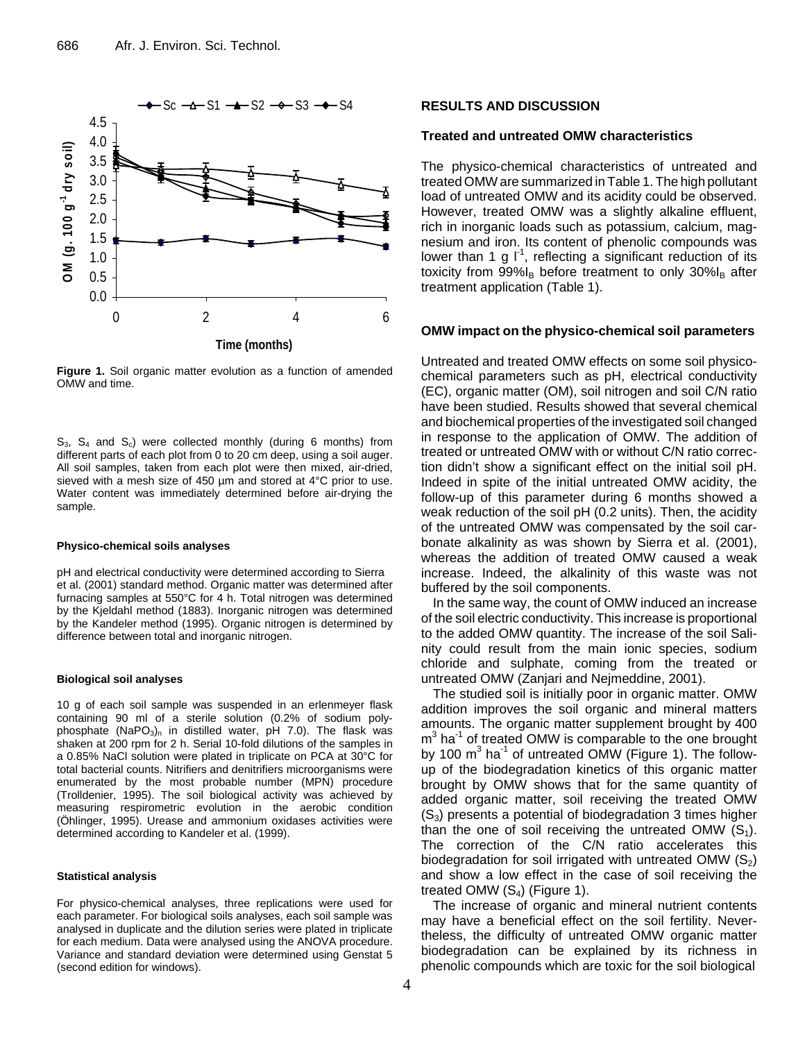

**Figure 1.** Soil organic matter evolution as a function of amended OMW and time.

 $S_3$ ,  $S_4$  and  $S_c$ ) were collected monthly (during 6 months) from different parts of each plot from 0 to 20 cm deep, using a soil auger. All soil samples, taken from each plot were then mixed, air-dried, sieved with a mesh size of 450 µm and stored at 4°C prior to use. Water content was immediately determined before air-drying the sample.

#### **Physico-chemical soils analyses**

pH and electrical conductivity were determined according to Sierra et al. (2001) standard method. Organic matter was determined after furnacing samples at 550°C for 4 h. Total nitrogen was determined by the Kjeldahl method (1883). Inorganic nitrogen was determined by the Kandeler method (1995). Organic nitrogen is determined by difference between total and inorganic nitrogen.

#### **Biological soil analyses**

10 g of each soil sample was suspended in an erlenmeyer flask containing 90 ml of a sterile solution (0.2% of sodium polyphosphate  $(NaPO<sub>3</sub>)<sub>n</sub>$  in distilled water, pH 7.0). The flask was shaken at 200 rpm for 2 h. Serial 10-fold dilutions of the samples in a 0.85% NaCl solution were plated in triplicate on PCA at 30°C for total bacterial counts. Nitrifiers and denitrifiers microorganisms were enumerated by the most probable number (MPN) procedure (Trolldenier, 1995). The soil biological activity was achieved by measuring respirometric evolution in the aerobic condition (Öhlinger, 1995). Urease and ammonium oxidases activities were determined according to Kandeler et al. (1999).

#### **Statistical analysis**

For physico-chemical analyses, three replications were used for each parameter. For biological soils analyses, each soil sample was analysed in duplicate and the dilution series were plated in triplicate for each medium. Data were analysed using the ANOVA procedure. Variance and standard deviation were determined using Genstat 5 (second edition for windows).

#### **RESULTS AND DISCUSSION**

### **Treated and untreated OMW characteristics**

The physico-chemical characteristics of untreated and treated OMW are summarized in Table 1. The high pollutant load of untreated OMW and its acidity could be observed. However, treated OMW was a slightly alkaline effluent, rich in inorganic loads such as potassium, calcium, magnesium and iron. Its content of phenolic compounds was lower than 1 g  $I^1$ , reflecting a significant reduction of its toxicity from  $99\%$ <sub>B</sub> before treatment to only  $30\%$ <sub>B</sub> after treatment application (Table 1).

#### **OMW impact on the physico-chemical soil parameters**

Untreated and treated OMW effects on some soil physicochemical parameters such as pH, electrical conductivity (EC), organic matter (OM), soil nitrogen and soil C/N ratio have been studied. Results showed that several chemical and biochemical properties of the investigated soil changed in response to the application of OMW. The addition of treated or untreated OMW with or without C/N ratio correction didn't show a significant effect on the initial soil pH. Indeed in spite of the initial untreated OMW acidity, the follow-up of this parameter during 6 months showed a weak reduction of the soil pH (0.2 units). Then, the acidity of the untreated OMW was compensated by the soil carbonate alkalinity as was shown by Sierra et al. (2001), whereas the addition of treated OMW caused a weak increase. Indeed, the alkalinity of this waste was not buffered by the soil components.

In the same way, the count of OMW induced an increase of the soil electric conductivity. This increase is proportional to the added OMW quantity. The increase of the soil Salinity could result from the main ionic species, sodium chloride and sulphate, coming from the treated or untreated OMW (Zanjari and Nejmeddine, 2001).

The studied soil is initially poor in organic matter. OMW addition improves the soil organic and mineral matters amounts. The organic matter supplement brought by 400 m<sup>3</sup> ha<sup>-1</sup> of treated OMW is comparable to the one brought by 100  $m^3$  ha<sup>-1</sup> of untreated OMW (Figure 1). The followup of the biodegradation kinetics of this organic matter brought by OMW shows that for the same quantity of added organic matter, soil receiving the treated OMW  $(S_3)$  presents a potential of biodegradation 3 times higher than the one of soil receiving the untreated OMW  $(S_1)$ . The correction of the C/N ratio accelerates this biodegradation for soil irrigated with untreated OMW  $(S_2)$ and show a low effect in the case of soil receiving the treated OMW  $(S_4)$  (Figure 1).

The increase of organic and mineral nutrient contents may have a beneficial effect on the soil fertility. Nevertheless, the difficulty of untreated OMW organic matter biodegradation can be explained by its richness in phenolic compounds which are toxic for the soil biological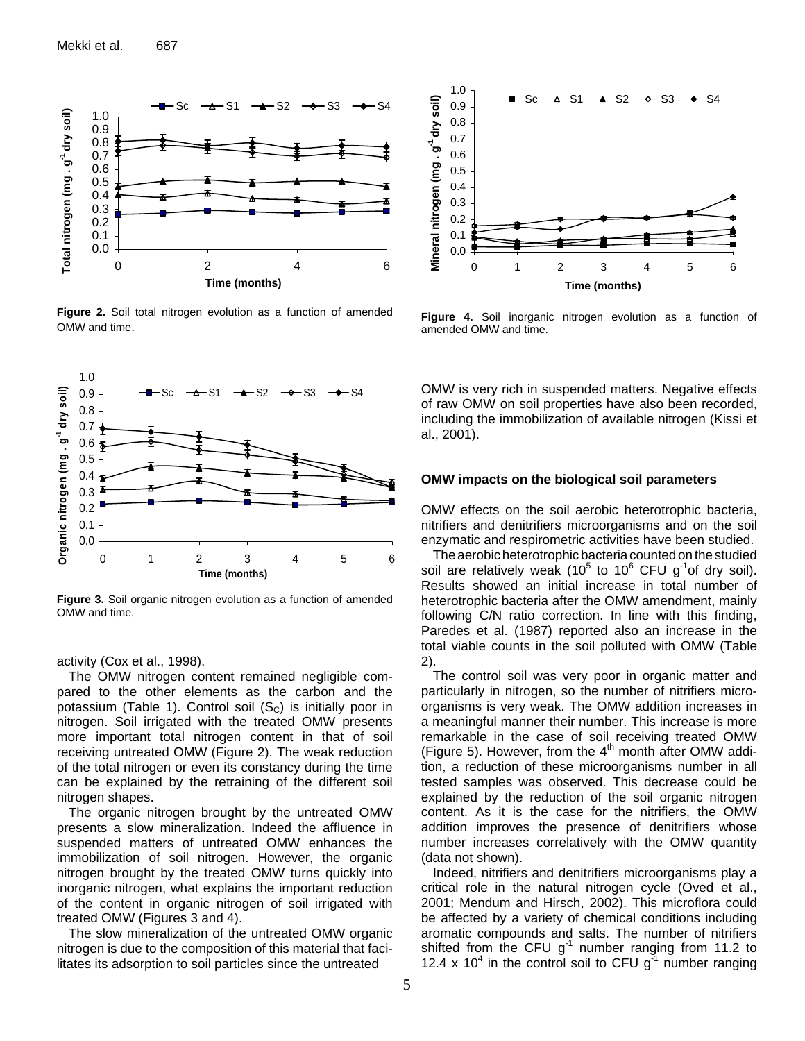

**Figure 2.** Soil total nitrogen evolution as a function of amended OMW and time.



**Figure 3.** Soil organic nitrogen evolution as a function of amended OMW and time.

activity (Cox et al., 1998).

The OMW nitrogen content remained negligible compared to the other elements as the carbon and the potassium (Table 1). Control soil  $(S<sub>C</sub>)$  is initially poor in nitrogen. Soil irrigated with the treated OMW presents more important total nitrogen content in that of soil receiving untreated OMW (Figure 2). The weak reduction of the total nitrogen or even its constancy during the time can be explained by the retraining of the different soil nitrogen shapes.

The organic nitrogen brought by the untreated OMW presents a slow mineralization. Indeed the affluence in suspended matters of untreated OMW enhances the immobilization of soil nitrogen. However, the organic nitrogen brought by the treated OMW turns quickly into inorganic nitrogen, what explains the important reduction of the content in organic nitrogen of soil irrigated with treated OMW (Figures 3 and 4).

The slow mineralization of the untreated OMW organic nitrogen is due to the composition of this material that facilitates its adsorption to soil particles since the untreated



**Figure 4.** Soil inorganic nitrogen evolution as a function of amended OMW and time.

OMW is very rich in suspended matters. Negative effects of raw OMW on soil properties have also been recorded, including the immobilization of available nitrogen (Kissi et al., 2001).

#### **OMW impacts on the biological soil parameters**

OMW effects on the soil aerobic heterotrophic bacteria, nitrifiers and denitrifiers microorganisms and on the soil enzymatic and respirometric activities have been studied.

The aerobic heterotrophic bacteria counted on the studied soil are relatively weak (10<sup>5</sup> to 10<sup>6</sup> CFU g<sup>-1</sup>of dry soil). Results showed an initial increase in total number of heterotrophic bacteria after the OMW amendment, mainly following C/N ratio correction. In line with this finding, Paredes et al. (1987) reported also an increase in the total viable counts in the soil polluted with OMW (Table 2).

The control soil was very poor in organic matter and particularly in nitrogen, so the number of nitrifiers microorganisms is very weak. The OMW addition increases in a meaningful manner their number. This increase is more remarkable in the case of soil receiving treated OMW (Figure 5). However, from the  $4<sup>th</sup>$  month after OMW addition, a reduction of these microorganisms number in all tested samples was observed. This decrease could be explained by the reduction of the soil organic nitrogen content. As it is the case for the nitrifiers, the OMW addition improves the presence of denitrifiers whose number increases correlatively with the OMW quantity (data not shown).

Indeed, nitrifiers and denitrifiers microorganisms play a critical role in the natural nitrogen cycle (Oved et al., 2001; Mendum and Hirsch, 2002). This microflora could be affected by a variety of chemical conditions including aromatic compounds and salts. The number of nitrifiers shifted from the CFU  $g^{-1}$  number ranging from 11.2 to 12.4 x 10<sup>4</sup> in the control soil to CFU  $g<sup>4</sup>$  number ranging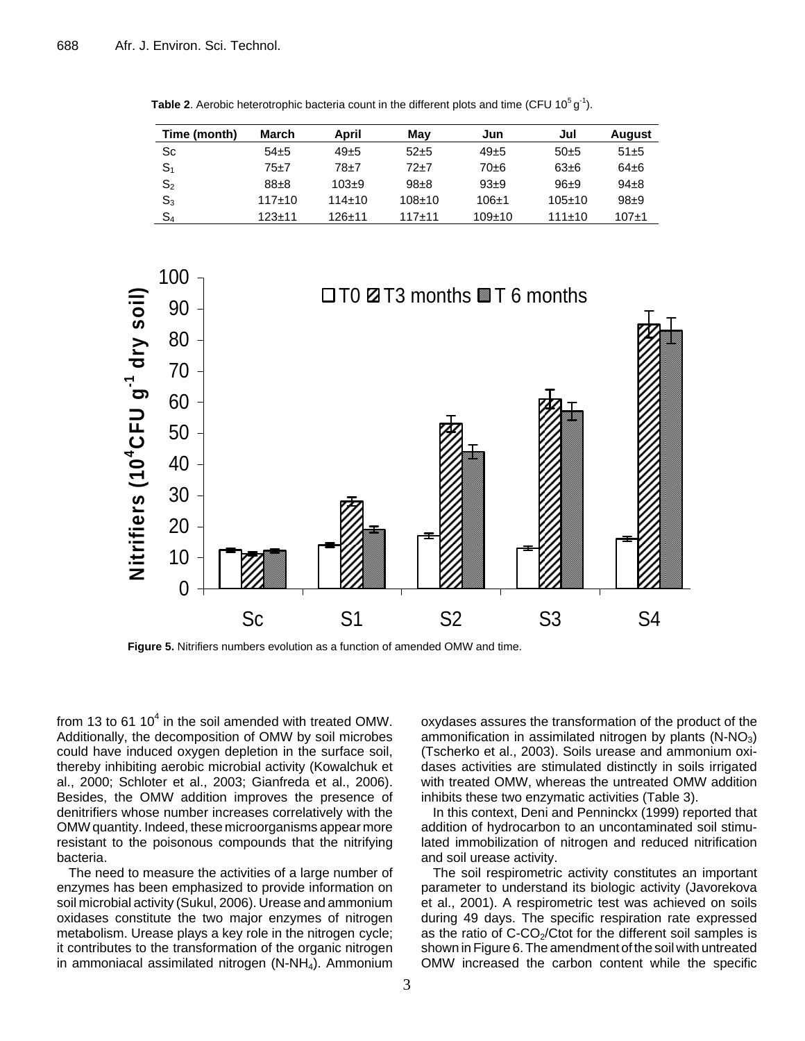| Time (month)   | March    | April        | Mav        | Jun          | Jul          | <b>August</b> |
|----------------|----------|--------------|------------|--------------|--------------|---------------|
| Sc             | $54+5$   | $49 + 5$     | $52+5$     | $49\pm5$     | $50+5$       | $51 + 5$      |
| $\mathbb{S}_1$ | 75±7     | $78 + 7$     | 72+7       | $70 + 6$     | $63 + 6$     | $64\pm 6$     |
| $\mathsf{S}_2$ | $88\pm8$ | $103+9$      | $98 + 8$   | $93+9$       | $96+9$       | $94+8$        |
| $\mathsf{S}_3$ | $117+10$ | $114 \pm 10$ | $108 + 10$ | $106+1$      | $105 \pm 10$ | $98+9$        |
| $\mathbb{S}_4$ | $123+11$ | $126 + 11$   | $117 + 11$ | $109 \pm 10$ | $111+10$     | $107 + 1$     |

**Table 2**. Aerobic heterotrophic bacteria count in the different plots and time (CFU 10<sup>5</sup> g<sup>-1</sup>).



**Figure 5.** Nitrifiers numbers evolution as a function of amended OMW and time.

from 13 to 61 10 $4$  in the soil amended with treated OMW. Additionally, the decomposition of OMW by soil microbes could have induced oxygen depletion in the surface soil, thereby inhibiting aerobic microbial activity (Kowalchuk et al., 2000; Schloter et al., 2003; Gianfreda et al., 2006). Besides, the OMW addition improves the presence of denitrifiers whose number increases correlatively with the OMW quantity. Indeed, these microorganisms appear more resistant to the poisonous compounds that the nitrifying bacteria.

The need to measure the activities of a large number of enzymes has been emphasized to provide information on soil microbial activity (Sukul, 2006). Urease and ammonium oxidases constitute the two major enzymes of nitrogen metabolism. Urease plays a key role in the nitrogen cycle; it contributes to the transformation of the organic nitrogen in ammoniacal assimilated nitrogen  $(N-NH<sub>4</sub>)$ . Ammonium oxydases assures the transformation of the product of the ammonification in assimilated nitrogen by plants  $(N-NO<sub>3</sub>)$ (Tscherko et al., 2003). Soils urease and ammonium oxidases activities are stimulated distinctly in soils irrigated with treated OMW, whereas the untreated OMW addition inhibits these two enzymatic activities (Table 3).

In this context, Deni and Penninckx (1999) reported that addition of hydrocarbon to an uncontaminated soil stimulated immobilization of nitrogen and reduced nitrification and soil urease activity.

The soil respirometric activity constitutes an important parameter to understand its biologic activity (Javorekova et al., 2001). A respirometric test was achieved on soils during 49 days. The specific respiration rate expressed as the ratio of  $C$ -CO<sub>2</sub>/Ctot for the different soil samples is shown in Figure 6. The amendment of the soil with untreated OMW increased the carbon content while the specific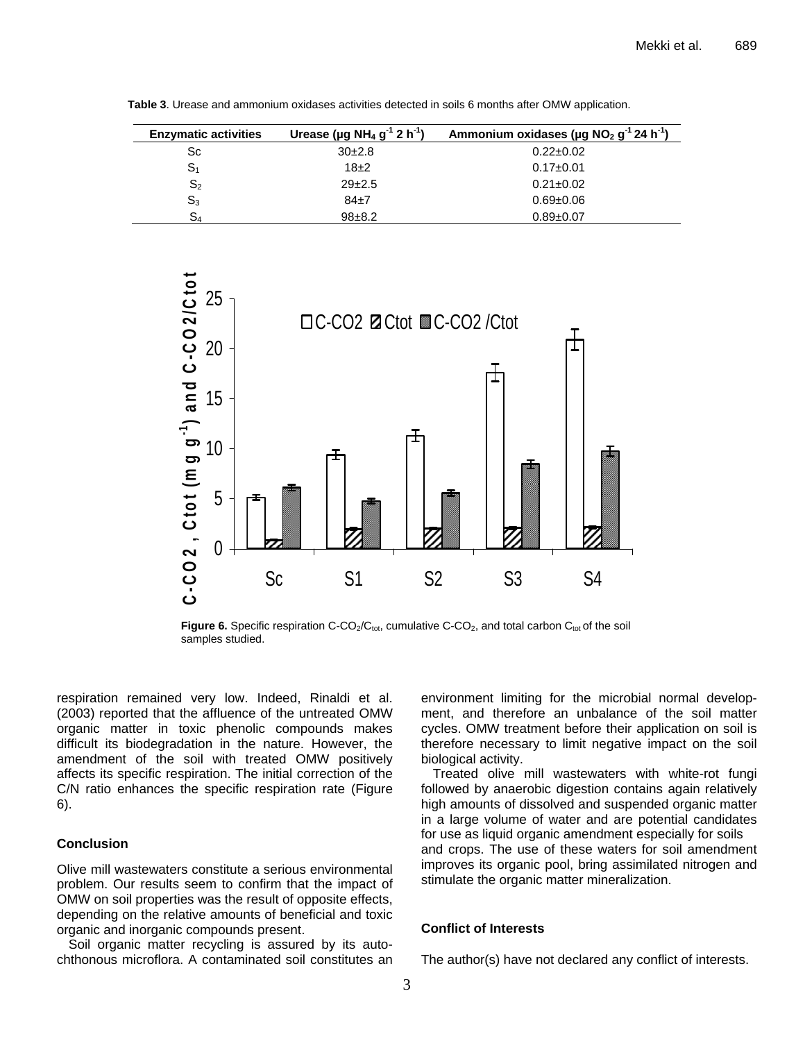| <b>Enzymatic activities</b> | Urease (µg NH <sub>4</sub> g <sup>-1</sup> 2 h <sup>-1</sup> ) | Ammonium oxidases (µg $NO2 g-1 24 h-1$ ) |
|-----------------------------|----------------------------------------------------------------|------------------------------------------|
| Sc                          | 30 <sub>±</sub> 2.8                                            | $0.22 \pm 0.02$                          |
| S <sub>1</sub>              | $18+2$                                                         | $0.17 \pm 0.01$                          |
| S <sub>2</sub>              | $29 + 2.5$                                                     | $0.21 \pm 0.02$                          |
| $S_3$                       | $84\pm7$                                                       | $0.69 + 0.06$                            |
| S,                          | $98 + 8.2$                                                     | $0.89 + 0.07$                            |

**Table 3**. Urease and ammonium oxidases activities detected in soils 6 months after OMW application.



**Figure 6.** Specific respiration C-CO<sub>2</sub>/C<sub>tot</sub>, cumulative C-CO<sub>2</sub>, and total carbon C<sub>tot</sub> of the soil samples studied.

respiration remained very low. Indeed, Rinaldi et al. (2003) reported that the affluence of the untreated OMW organic matter in toxic phenolic compounds makes difficult its biodegradation in the nature. However, the amendment of the soil with treated OMW positively affects its specific respiration. The initial correction of the C/N ratio enhances the specific respiration rate (Figure 6).

## **Conclusion**

Olive mill wastewaters constitute a serious environmental problem. Our results seem to confirm that the impact of OMW on soil properties was the result of opposite effects, depending on the relative amounts of beneficial and toxic organic and inorganic compounds present.

Soil organic matter recycling is assured by its autochthonous microflora. A contaminated soil constitutes an

environment limiting for the microbial normal development, and therefore an unbalance of the soil matter cycles. OMW treatment before their application on soil is therefore necessary to limit negative impact on the soil biological activity.

Treated olive mill wastewaters with white-rot fungi followed by anaerobic digestion contains again relatively high amounts of dissolved and suspended organic matter in a large volume of water and are potential candidates for use as liquid organic amendment especially for soils and crops. The use of these waters for soil amendment improves its organic pool, bring assimilated nitrogen and stimulate the organic matter mineralization.

# **Conflict of Interests**

The author(s) have not declared any conflict of interests.